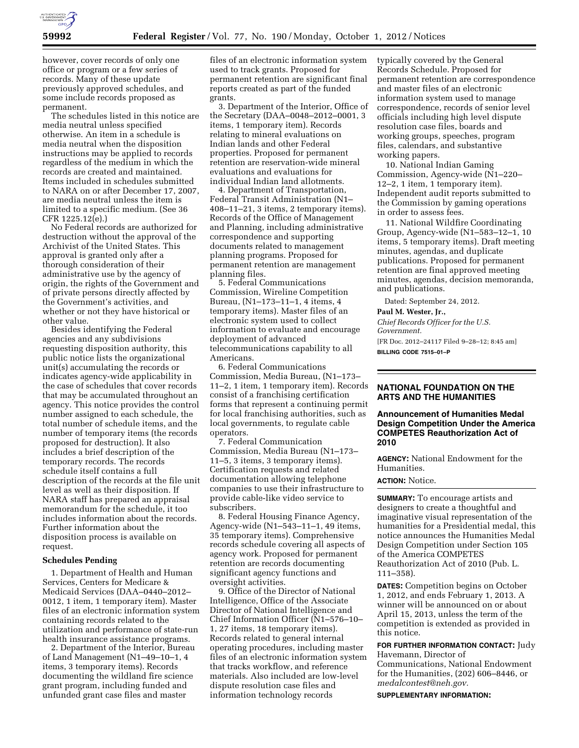

however, cover records of only one office or program or a few series of records. Many of these update previously approved schedules, and some include records proposed as permanent.

The schedules listed in this notice are media neutral unless specified otherwise. An item in a schedule is media neutral when the disposition instructions may be applied to records regardless of the medium in which the records are created and maintained. Items included in schedules submitted to NARA on or after December 17, 2007, are media neutral unless the item is limited to a specific medium. (See 36 CFR 1225.12(e).)

No Federal records are authorized for destruction without the approval of the Archivist of the United States. This approval is granted only after a thorough consideration of their administrative use by the agency of origin, the rights of the Government and of private persons directly affected by the Government's activities, and whether or not they have historical or other value.

Besides identifying the Federal agencies and any subdivisions requesting disposition authority, this public notice lists the organizational unit(s) accumulating the records or indicates agency-wide applicability in the case of schedules that cover records that may be accumulated throughout an agency. This notice provides the control number assigned to each schedule, the total number of schedule items, and the number of temporary items (the records proposed for destruction). It also includes a brief description of the temporary records. The records schedule itself contains a full description of the records at the file unit level as well as their disposition. If NARA staff has prepared an appraisal memorandum for the schedule, it too includes information about the records. Further information about the disposition process is available on request.

### **Schedules Pending**

1. Department of Health and Human Services, Centers for Medicare & Medicaid Services (DAA–0440–2012– 0012, 1 item, 1 temporary item). Master files of an electronic information system containing records related to the utilization and performance of state-run health insurance assistance programs.

2. Department of the Interior, Bureau of Land Management (N1–49–10–1, 4 items, 3 temporary items). Records documenting the wildland fire science grant program, including funded and unfunded grant case files and master

files of an electronic information system used to track grants. Proposed for permanent retention are significant final reports created as part of the funded grants.

3. Department of the Interior, Office of the Secretary (DAA–0048–2012–0001, 3 items, 1 temporary item). Records relating to mineral evaluations on Indian lands and other Federal properties. Proposed for permanent retention are reservation-wide mineral evaluations and evaluations for individual Indian land allotments.

4. Department of Transportation, Federal Transit Administration (N1– 408–11–21, 3 items, 2 temporary items). Records of the Office of Management and Planning, including administrative correspondence and supporting documents related to management planning programs. Proposed for permanent retention are management planning files.

5. Federal Communications Commission, Wireline Competition Bureau, (N1–173–11–1, 4 items, 4 temporary items). Master files of an electronic system used to collect information to evaluate and encourage deployment of advanced telecommunications capability to all Americans.

6. Federal Communications Commission, Media Bureau, (N1–173– 11–2, 1 item, 1 temporary item). Records consist of a franchising certification forms that represent a continuing permit for local franchising authorities, such as local governments, to regulate cable operators.

7. Federal Communication Commission, Media Bureau (N1–173– 11–5, 3 items, 3 temporary items). Certification requests and related documentation allowing telephone companies to use their infrastructure to provide cable-like video service to subscribers.

8. Federal Housing Finance Agency, Agency-wide (N1–543–11–1, 49 items, 35 temporary items). Comprehensive records schedule covering all aspects of agency work. Proposed for permanent retention are records documenting significant agency functions and oversight activities.

9. Office of the Director of National Intelligence, Office of the Associate Director of National Intelligence and Chief Information Officer (N1–576–10– 1, 27 items, 18 temporary items). Records related to general internal operating procedures, including master files of an electronic information system that tracks workflow, and reference materials. Also included are low-level dispute resolution case files and information technology records

typically covered by the General Records Schedule. Proposed for permanent retention are correspondence and master files of an electronic information system used to manage correspondence, records of senior level officials including high level dispute resolution case files, boards and working groups, speeches, program files, calendars, and substantive working papers.

10. National Indian Gaming Commission, Agency-wide (N1–220– 12–2, 1 item, 1 temporary item). Independent audit reports submitted to the Commission by gaming operations in order to assess fees.

11. National Wildfire Coordinating Group, Agency-wide (N1–583–12–1, 10 items, 5 temporary items). Draft meeting minutes, agendas, and duplicate publications. Proposed for permanent retention are final approved meeting minutes, agendas, decision memoranda, and publications.

Dated: September 24, 2012.

#### **Paul M. Wester, Jr.,**

*Chief Records Officer for the U.S. Government.*  [FR Doc. 2012–24117 Filed 9–28–12; 8:45 am] **BILLING CODE 7515–01–P** 

# **NATIONAL FOUNDATION ON THE ARTS AND THE HUMANITIES**

## **Announcement of Humanities Medal Design Competition Under the America COMPETES Reauthorization Act of 2010**

**AGENCY:** National Endowment for the Humanities.

### **ACTION:** Notice.

**SUMMARY:** To encourage artists and designers to create a thoughtful and imaginative visual representation of the humanities for a Presidential medal, this notice announces the Humanities Medal Design Competition under Section 105 of the America COMPETES Reauthorization Act of 2010 (Pub. L. 111–358).

**DATES:** Competition begins on October 1, 2012, and ends February 1, 2013. A winner will be announced on or about April 15, 2013, unless the term of the competition is extended as provided in this notice.

**FOR FURTHER INFORMATION CONTACT:** Judy Havemann, Director of Communications, National Endowment for the Humanities, (202) 606–8446, or *[medalcontest@neh.gov.](mailto:medalcontest@neh.gov)* 

**SUPPLEMENTARY INFORMATION:**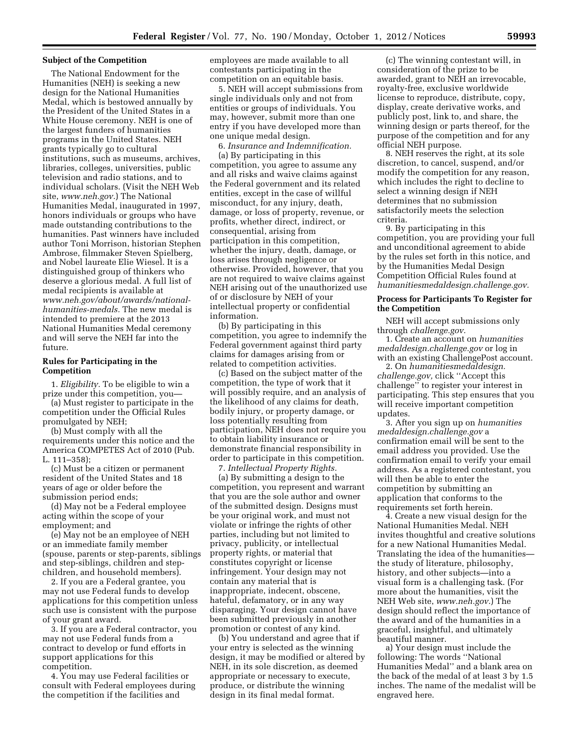#### **Subject of the Competition**

The National Endowment for the Humanities (NEH) is seeking a new design for the National Humanities Medal, which is bestowed annually by the President of the United States in a White House ceremony. NEH is one of the largest funders of humanities programs in the United States. NEH grants typically go to cultural institutions, such as museums, archives, libraries, colleges, universities, public television and radio stations, and to individual scholars. (Visit the NEH Web site, *[www.neh.gov.](http://www.neh.gov)*) The National Humanities Medal, inaugurated in 1997, honors individuals or groups who have made outstanding contributions to the humanities. Past winners have included author Toni Morrison, historian Stephen Ambrose, filmmaker Steven Spielberg, and Nobel laureate Elie Wiesel. It is a distinguished group of thinkers who deserve a glorious medal. A full list of medal recipients is available at *[www.neh.gov/about/awards/national](http://www.neh.gov/about/awards/national-humanities-medals)[humanities-medals.](http://www.neh.gov/about/awards/national-humanities-medals)* The new medal is intended to premiere at the 2013 National Humanities Medal ceremony and will serve the NEH far into the future.

### **Rules for Participating in the Competition**

1. *Eligibility.* To be eligible to win a prize under this competition, you—

(a) Must register to participate in the competition under the Official Rules promulgated by NEH;

(b) Must comply with all the requirements under this notice and the America COMPETES Act of 2010 (Pub. L. 111–358);

(c) Must be a citizen or permanent resident of the United States and 18 years of age or older before the submission period ends;

(d) May not be a Federal employee acting within the scope of your employment; and

(e) May not be an employee of NEH or an immediate family member (spouse, parents or step-parents, siblings and step-siblings, children and stepchildren, and household members).

2. If you are a Federal grantee, you may not use Federal funds to develop applications for this competition unless such use is consistent with the purpose of your grant award.

3. If you are a Federal contractor, you may not use Federal funds from a contract to develop or fund efforts in support applications for this competition.

4. You may use Federal facilities or consult with Federal employees during the competition if the facilities and

employees are made available to all contestants participating in the competition on an equitable basis.

5. NEH will accept submissions from single individuals only and not from entities or groups of individuals. You may, however, submit more than one entry if you have developed more than one unique medal design.

6. *Insurance and Indemnification.*  (a) By participating in this competition, you agree to assume any and all risks and waive claims against the Federal government and its related entities, except in the case of willful misconduct, for any injury, death, damage, or loss of property, revenue, or profits, whether direct, indirect, or consequential, arising from participation in this competition, whether the injury, death, damage, or loss arises through negligence or otherwise. Provided, however, that you are not required to waive claims against NEH arising out of the unauthorized use of or disclosure by NEH of your intellectual property or confidential information.

(b) By participating in this competition, you agree to indemnify the Federal government against third party claims for damages arising from or related to competition activities.

(c) Based on the subject matter of the competition, the type of work that it will possibly require, and an analysis of the likelihood of any claims for death, bodily injury, or property damage, or loss potentially resulting from participation, NEH does not require you to obtain liability insurance or demonstrate financial responsibility in order to participate in this competition.

7. *Intellectual Property Rights.* 

(a) By submitting a design to the competition, you represent and warrant that you are the sole author and owner of the submitted design. Designs must be your original work, and must not violate or infringe the rights of other parties, including but not limited to privacy, publicity, or intellectual property rights, or material that constitutes copyright or license infringement. Your design may not contain any material that is inappropriate, indecent, obscene, hateful, defamatory, or in any way disparaging. Your design cannot have been submitted previously in another promotion or contest of any kind.

(b) You understand and agree that if your entry is selected as the winning design, it may be modified or altered by NEH, in its sole discretion, as deemed appropriate or necessary to execute, produce, or distribute the winning design in its final medal format.

(c) The winning contestant will, in consideration of the prize to be awarded, grant to NEH an irrevocable, royalty-free, exclusive worldwide license to reproduce, distribute, copy, display, create derivative works, and publicly post, link to, and share, the winning design or parts thereof, for the purpose of the competition and for any official NEH purpose.

8. NEH reserves the right, at its sole discretion, to cancel, suspend, and/or modify the competition for any reason, which includes the right to decline to select a winning design if NEH determines that no submission satisfactorily meets the selection criteria.

9. By participating in this competition, you are providing your full and unconditional agreement to abide by the rules set forth in this notice, and by the Humanities Medal Design Competition Official Rules found at *humanitiesmedaldesign.challenge.gov.* 

### **Process for Participants To Register for the Competition**

NEH will accept submissions only through *challenge.gov.* 

1. Create an account on *humanities medaldesign.challenge.gov* or log in with an existing ChallengePost account.

2. On *humanitiesmedaldesign. challenge.gov,* click ''Accept this challenge'' to register your interest in participating. This step ensures that you will receive important competition updates.

3. After you sign up on *humanities medaldesign.challenge.gov* a confirmation email will be sent to the email address you provided. Use the confirmation email to verify your email address. As a registered contestant, you will then be able to enter the competition by submitting an application that conforms to the requirements set forth herein.

4. Create a new visual design for the National Humanities Medal. NEH invites thoughtful and creative solutions for a new National Humanities Medal. Translating the idea of the humanities the study of literature, philosophy, history, and other subjects—into a visual form is a challenging task. (For more about the humanities, visit the NEH Web site, *[www.neh.gov.](http://www.neh.gov)*) The design should reflect the importance of the award and of the humanities in a graceful, insightful, and ultimately beautiful manner.

a) Your design must include the following: The words ''National Humanities Medal'' and a blank area on the back of the medal of at least 3 by 1.5 inches. The name of the medalist will be engraved here.